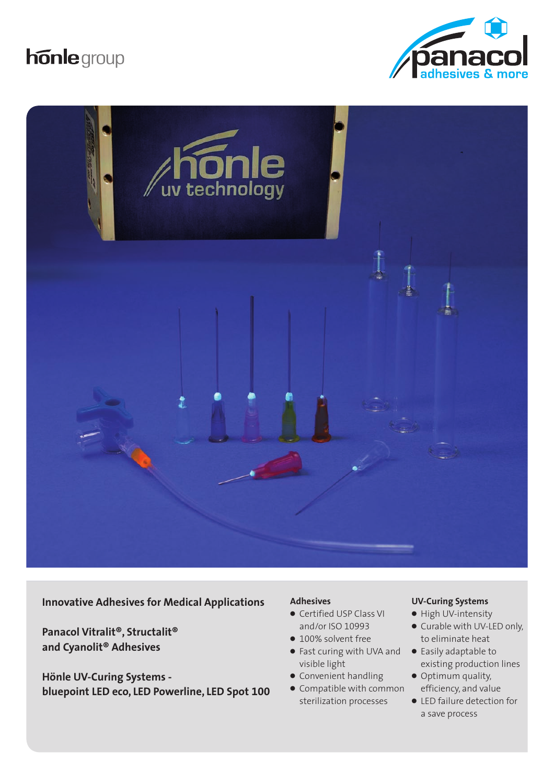





**Innovative Adhesives for Medical Applications**

**Panacol Vitralit®, Structalit® and Cyanolit® Adhesives**

**Hönle UV-Curing Systems bluepoint LED eco, LED Powerline, LED Spot 100**

#### **Adhesives**

- Certified USP Class VI and/or ISO 10993
- 100% solvent free
- Fast curing with UVA and visible light
- Convenient handling
- Compatible with common sterilization processes

#### **UV-Curing Systems**

- High UV-intensity
- Curable with UV-LED only, to eliminate heat
- Easily adaptable to existing production lines
- Optimum quality, efficiency, and value
- LED failure detection for a save process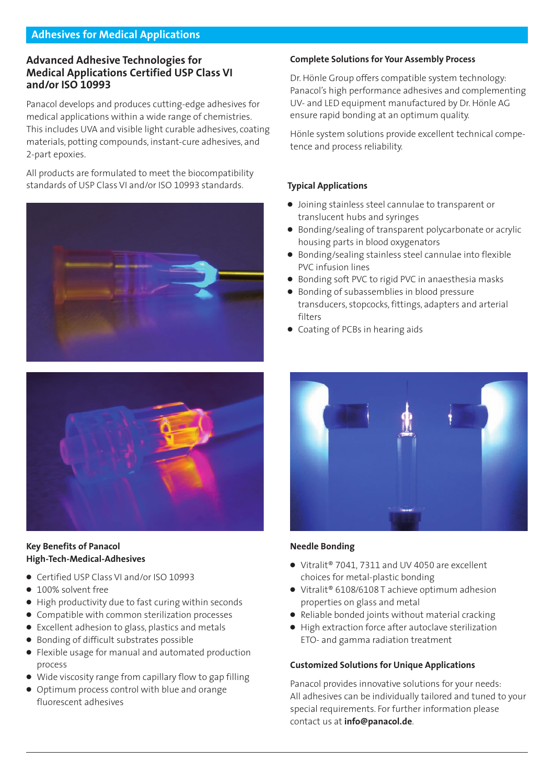## **Advanced Adhesive Technologies for Medical Applications Certified USP Class VI and/or ISO 10993**

Panacol develops and produces cutting-edge adhesives for medical applications within a wide range of chemistries. This includes UVA and visible light curable adhesives, coating materials, potting compounds, instant-cure adhesives, and 2-part epoxies.

All products are formulated to meet the biocompatibility standards of USP Class VI and/or ISO 10993 standards.





## **Key Benefits of Panacol High-Tech-Medical-Adhesives**

- Certified USP Class VI and/or ISO 10993
- 100% solvent free
- High productivity due to fast curing within seconds
- Compatible with common sterilization processes
- Excellent adhesion to glass, plastics and metals
- Bonding of difficult substrates possible
- Flexible usage for manual and automated production process
- Wide viscosity range from capillary flow to gap filling
- Optimum process control with blue and orange fluorescent adhesives

#### **Complete Solutions for Your Assembly Process**

Dr. Hönle Group offers compatible system technology: Panacol's high performance adhesives and complementing UV- and LED equipment manufactured by Dr. Hönle AG ensure rapid bonding at an optimum quality.

Hönle system solutions provide excellent technical competence and process reliability.

## **Typical Applications**

- Joining stainless steel cannulae to transparent or translucent hubs and syringes
- Bonding/sealing of transparent polycarbonate or acrylic housing parts in blood oxygenators
- Bonding/sealing stainless steel cannulae into flexible PVC infusion lines
- Bonding soft PVC to rigid PVC in anaesthesia masks
- Bonding of subassemblies in blood pressure transducers, stopcocks, fittings, adapters and arterial filters
- Coating of PCBs in hearing aids



## **Needle Bonding**

- Vitralit<sup>®</sup> 7041, 7311 and UV 4050 are excellent choices for metal-plastic bonding
- Vitralit<sup>®</sup> 6108/6108 T achieve optimum adhesion properties on glass and metal
- Reliable bonded joints without material cracking
- High extraction force after autoclave sterilization ETO- and gamma radiation treatment

## **Customized Solutions for Unique Applications**

Panacol provides innovative solutions for your needs: All adhesives can be individually tailored and tuned to your special requirements. For further information please contact us at **info@panacol.de**.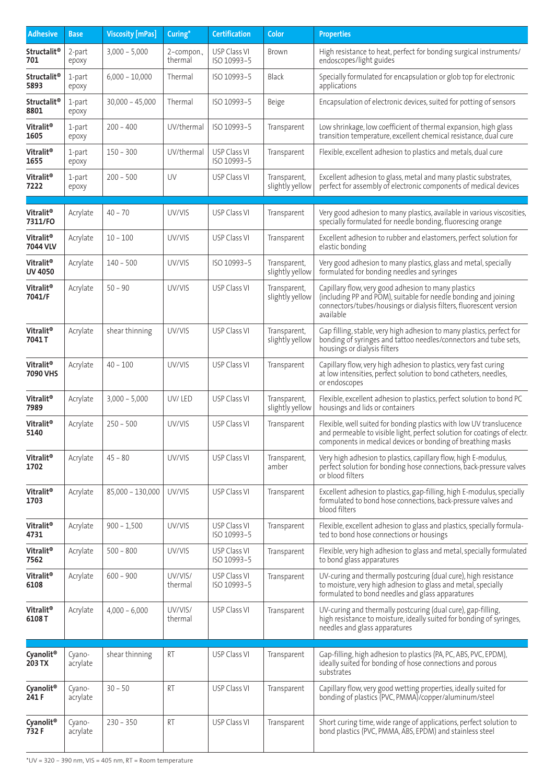| <b>Adhesive</b>                         | <b>Base</b>        | <b>Viscosity [mPas]</b> | Curing*               | <b>Certification</b>        | Color                           | <b>Properties</b>                                                                                                                                                                                              |
|-----------------------------------------|--------------------|-------------------------|-----------------------|-----------------------------|---------------------------------|----------------------------------------------------------------------------------------------------------------------------------------------------------------------------------------------------------------|
| <b>Structalit<sup>®</sup></b><br>701    | 2-part<br>ероху    | $3,000 - 5,000$         | 2-compon.,<br>thermal | USP Class VI<br>ISO 10993-5 | <b>Brown</b>                    | High resistance to heat, perfect for bonding surgical instruments/<br>endoscopes/light guides                                                                                                                  |
| <b>Structalit<sup>®</sup></b><br>5893   | 1-part<br>ероху    | $6,000 - 10,000$        | Thermal               | ISO 10993-5                 | Black                           | Specially formulated for encapsulation or glob top for electronic<br>applications                                                                                                                              |
| <b>Structalit<sup>®</sup></b><br>8801   | 1-part<br>ероху    | $30,000 - 45,000$       | Thermal               | ISO 10993-5                 | Beige                           | Encapsulation of electronic devices, suited for potting of sensors                                                                                                                                             |
| Vitralit <sup>®</sup><br>1605           | 1-part<br>ероху    | $200 - 400$             | UV/thermal            | ISO 10993-5                 | Transparent                     | Low shrinkage, low coefficient of thermal expansion, high glass<br>transition temperature, excellent chemical resistance, dual cure                                                                            |
| Vitralit®<br>1655                       | 1-part<br>ероху    | $150 - 300$             | UV/thermal            | USP Class VI<br>ISO 10993-5 | Transparent                     | Flexible, excellent adhesion to plastics and metals, dual cure                                                                                                                                                 |
| Vitralit <sup>®</sup><br>7222           | 1-part<br>ероху    | $200 - 500$             | UV                    | USP Class VI                | Transparent,<br>slightly yellow | Excellent adhesion to glass, metal and many plastic substrates,<br>perfect for assembly of electronic components of medical devices                                                                            |
|                                         |                    |                         |                       |                             |                                 |                                                                                                                                                                                                                |
| Vitralit <sup>®</sup><br>7311/FO        | Acrylate           | $40 - 70$               | UV/VIS                | USP Class VI                | Transparent                     | Very good adhesion to many plastics, available in various viscosities,<br>specially formulated for needle bonding, fluorescing orange                                                                          |
| Vitralit®<br>7044 VLV                   | Acrylate           | $10 - 100$              | UV/VIS                | USP Class VI                | Transparent                     | Excellent adhesion to rubber and elastomers, perfect solution for<br>elastic bonding                                                                                                                           |
| Vitralit <sup>®</sup><br><b>UV 4050</b> | Acrylate           | $140 - 500$             | UV/VIS                | ISO 10993-5                 | Transparent,<br>slightly yellow | Very good adhesion to many plastics, glass and metal, specially<br>formulated for bonding needles and syringes                                                                                                 |
| Vitralit <sup>®</sup><br>7041/F         | Acrylate           | $50 - 90$               | UV/VIS                | USP Class VI                | Transparent,<br>slightly yellow | Capillary flow, very good adhesion to many plastics<br>(including PP and POM), suitable for needle bonding and joining<br>connectors/tubes/housings or dialysis filters, fluorescent version<br>available      |
| Vitralit®<br>7041T                      | Acrylate           | shear thinning          | UV/VIS                | USP Class VI                | Transparent,<br>slightly yellow | Gap filling, stable, very high adhesion to many plastics, perfect for<br>bonding of syringes and tattoo needles/connectors and tube sets,<br>housings or dialysis filters                                      |
| Vitralit <sup>®</sup><br>7090 VHS       | Acrylate           | $40 - 100$              | UV/VIS                | USP Class VI                | Transparent                     | Capillary flow, very high adhesion to plastics, very fast curing<br>at low intensities, perfect solution to bond catheters, needles,<br>or endoscopes                                                          |
| Vitralit <sup>®</sup><br>7989           | Acrylate           | $3,000 - 5,000$         | UV/LED                | USP Class VI                | Transparent,<br>slightly yellow | Flexible, excellent adhesion to plastics, perfect solution to bond PC<br>housings and lids or containers                                                                                                       |
| Vitralit®<br>5140                       | Acrylate           | $250 - 500$             | UV/VIS                | USP Class VI                | Transparent                     | Flexible, well suited for bonding plastics with low UV translucence<br>and permeable to visible light, perfect solution for coatings of electr.<br>components in medical devices or bonding of breathing masks |
| Vitralit®<br>1702                       | Acrylate           | $45 - 80$               | UV/VIS                | USP Class VI                | Transparent,<br>amber           | Very high adhesion to plastics, capillary flow, high E-modulus,<br>perfect solution for bonding hose connections, back-pressure valves<br>or blood filters                                                     |
| Vitralit <sup>®</sup><br>1703           | Acrylate           | 85,000 - 130,000        | UV/VIS                | USP Class VI                | Transparent                     | Excellent adhesion to plastics, gap-filling, high E-modulus, specially<br>formulated to bond hose connections, back-pressure valves and<br>blood filters                                                       |
| Vitralit <sup>®</sup><br>4731           | Acrylate           | $900 - 1,500$           | UV/VIS                | USP Class VI<br>ISO 10993-5 | Transparent                     | Flexible, excellent adhesion to glass and plastics, specially formula-<br>ted to bond hose connections or housings                                                                                             |
| Vitralit <sup>®</sup><br>7562           | Acrylate           | $500 - 800$             | UV/VIS                | USP Class VI<br>ISO 10993-5 | Transparent                     | Flexible, very high adhesion to glass and metal, specially formulated<br>to bond glass apparatures                                                                                                             |
| Vitralit <sup>®</sup><br>6108           | Acrylate           | $600 - 900$             | UV/VIS/<br>thermal    | USP Class VI<br>ISO 10993-5 | Transparent                     | UV-curing and thermally postcuring (dual cure), high resistance<br>to moisture, very high adhesion to glass and metal, specially<br>formulated to bond needles and glass apparatures                           |
| Vitralit <sup>®</sup><br>6108T          | Acrylate           | $4,000 - 6,000$         | UV/VIS/<br>thermal    | USP Class VI                | Transparent                     | UV-curing and thermally postcuring (dual cure), gap-filling,<br>high resistance to moisture, ideally suited for bonding of syringes,<br>needles and glass apparatures                                          |
| Cyanolit <sup>®</sup><br>203 TX         | Cyano-<br>acrylate | shear thinning          | RT                    | USP Class VI                | Transparent                     | Gap-filling, high adhesion to plastics (PA, PC, ABS, PVC, EPDM),<br>ideally suited for bonding of hose connections and porous<br>substrates                                                                    |
| Cyanolit <sup>®</sup><br>241 F          | Cyano-<br>acrylate | $30 - 50$               | <b>RT</b>             | USP Class VI                | Transparent                     | Capillary flow, very good wetting properties, ideally suited for<br>bonding of plastics (PVC, PMMA)/copper/aluminum/steel                                                                                      |
| Cyanolit <sup>®</sup><br>732 F          | Cyano-<br>acrylate | $230 - 350$             | RT                    | USP Class VI                | Transparent                     | Short curing time, wide range of applications, perfect solution to<br>bond plastics (PVC, PMMA, ABS, EPDM) and stainless steel                                                                                 |